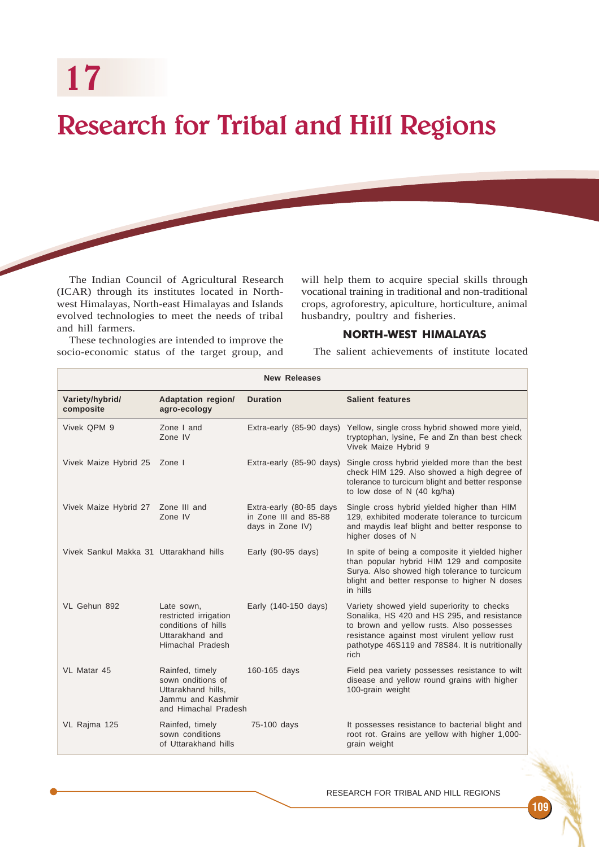17

# Research for Tribal and Hill Regions

The Indian Council of Agricultural Research (ICAR) through its institutes located in Northwest Himalayas, North-east Himalayas and Islands evolved technologies to meet the needs of tribal and hill farmers.

will help them to acquire special skills through vocational training in traditional and non-traditional crops, agroforestry, apiculture, horticulture, animal husbandry, poultry and fisheries.

# NORTH-WEST HIMALAYAS

These technologies are intended to improve the socio-economic status of the target group, and

The salient achievements of institute located

| <b>New Releases</b>                     |                                                                                                         |                                                                      |                                                                                                                                                                                                                                                   |
|-----------------------------------------|---------------------------------------------------------------------------------------------------------|----------------------------------------------------------------------|---------------------------------------------------------------------------------------------------------------------------------------------------------------------------------------------------------------------------------------------------|
| Variety/hybrid/<br>composite            | <b>Adaptation region/</b><br>agro-ecology                                                               | <b>Duration</b>                                                      | <b>Salient features</b>                                                                                                                                                                                                                           |
| Vivek QPM 9                             | Zone I and<br>Zone IV                                                                                   |                                                                      | Extra-early (85-90 days) Yellow, single cross hybrid showed more yield,<br>tryptophan, lysine, Fe and Zn than best check<br>Vivek Maize Hybrid 9                                                                                                  |
| Vivek Maize Hybrid 25 Zone I            |                                                                                                         | Extra-early (85-90 days)                                             | Single cross hybrid yielded more than the best<br>check HIM 129. Also showed a high degree of<br>tolerance to turcicum blight and better response<br>to low dose of N (40 kg/ha)                                                                  |
| Vivek Maize Hybrid 27 Zone III and      | Zone IV                                                                                                 | Extra-early (80-85 days<br>in Zone III and 85-88<br>days in Zone IV) | Single cross hybrid yielded higher than HIM<br>129, exhibited moderate tolerance to turcicum<br>and maydis leaf blight and better response to<br>higher doses of N                                                                                |
| Vivek Sankul Makka 31 Uttarakhand hills |                                                                                                         | Early $(90-95 \text{ days})$                                         | In spite of being a composite it yielded higher<br>than popular hybrid HIM 129 and composite<br>Surya. Also showed high tolerance to turcicum<br>blight and better response to higher N doses<br>in hills                                         |
| VL Gehun 892                            | Late sown,<br>restricted irrigation<br>conditions of hills<br>Uttarakhand and<br>Himachal Pradesh       | Early (140-150 days)                                                 | Variety showed yield superiority to checks<br>Sonalika, HS 420 and HS 295, and resistance<br>to brown and yellow rusts. Also possesses<br>resistance against most virulent yellow rust<br>pathotype 46S119 and 78S84. It is nutritionally<br>rich |
| VL Matar 45                             | Rainfed, timely<br>sown onditions of<br>Uttarakhand hills.<br>Jammu and Kashmir<br>and Himachal Pradesh | 160-165 days                                                         | Field pea variety possesses resistance to wilt<br>disease and yellow round grains with higher<br>100-grain weight                                                                                                                                 |
| VL Rajma 125                            | Rainfed, timely<br>sown conditions<br>of Uttarakhand hills                                              | 75-100 days                                                          | It possesses resistance to bacterial blight and<br>root rot. Grains are yellow with higher 1,000-<br>grain weight                                                                                                                                 |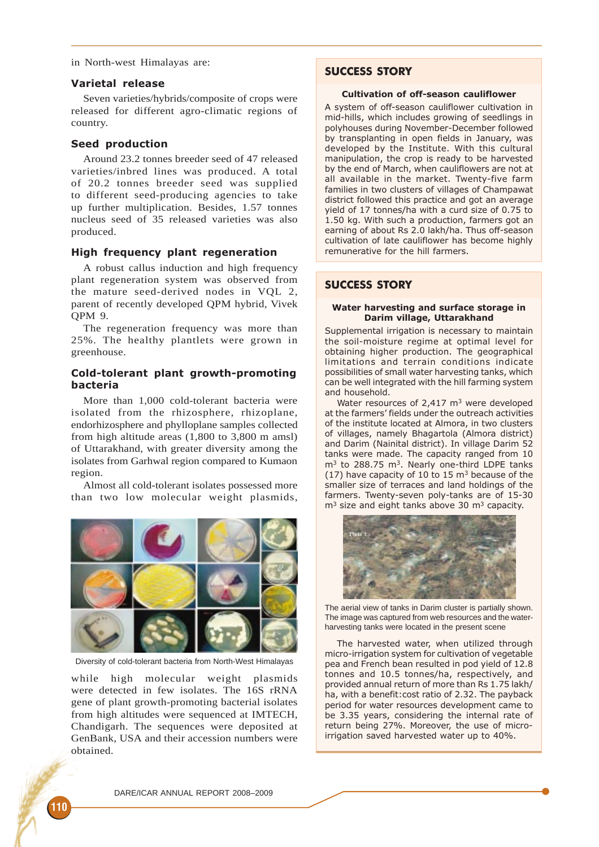in North-west Himalayas are:

## Varietal release

Seven varieties/hybrids/composite of crops were released for different agro-climatic regions of country.

## Seed production

Around 23.2 tonnes breeder seed of 47 released varieties/inbred lines was produced. A total of 20.2 tonnes breeder seed was supplied to different seed-producing agencies to take up further multiplication. Besides, 1.57 tonnes nucleus seed of 35 released varieties was also produced.

## High frequency plant regeneration

A robust callus induction and high frequency plant regeneration system was observed from the mature seed-derived nodes in VQL 2, parent of recently developed QPM hybrid, Vivek QPM 9.

The regeneration frequency was more than 25%. The healthy plantlets were grown in greenhouse.

## Cold-tolerant plant growth-promoting bacteria

More than 1,000 cold-tolerant bacteria were isolated from the rhizosphere, rhizoplane, endorhizosphere and phylloplane samples collected from high altitude areas (1,800 to 3,800 m amsl) of Uttarakhand, with greater diversity among the isolates from Garhwal region compared to Kumaon region.

Almost all cold-tolerant isolates possessed more than two low molecular weight plasmids,



Diversity of cold-tolerant bacteria from North-West Himalayas

while high molecular weight plasmids were detected in few isolates. The 16S rRNA gene of plant growth-promoting bacterial isolates from high altitudes were sequenced at IMTECH, Chandigarh. The sequences were deposited at GenBank, USA and their accession numbers were obtained.

# SUCCESS STORY

## Cultivation of off-season cauliflower

A system of off-season cauliflower cultivation in mid-hills, which includes growing of seedlings in polyhouses during November-December followed by transplanting in open fields in January, was developed by the Institute. With this cultural manipulation, the crop is ready to be harvested by the end of March, when cauliflowers are not at all available in the market. Twenty-five farm families in two clusters of villages of Champawat district followed this practice and got an average yield of 17 tonnes/ha with a curd size of 0.75 to 1.50 kg. With such a production, farmers got an earning of about Rs 2.0 lakh/ha. Thus off-season cultivation of late cauliflower has become highly remunerative for the hill farmers.

# SUCCESS STORY

#### Water harvesting and surface storage in Darim village, Uttarakhand

Supplemental irrigation is necessary to maintain the soil-moisture regime at optimal level for obtaining higher production. The geographical limitations and terrain conditions indicate possibilities of small water harvesting tanks, which can be well integrated with the hill farming system and household.

Water resources of  $2.417 \text{ m}^3$  were developed at the farmers' fields under the outreach activities of the institute located at Almora, in two clusters of villages, namely Bhagartola (Almora district) and Darim (Nainital district). In village Darim 52 tanks were made. The capacity ranged from 10  $m<sup>3</sup>$  to 288.75 m<sup>3</sup>. Nearly one-third LDPE tanks (17) have capacity of 10 to 15 m<sup>3</sup> because of the smaller size of terraces and land holdings of the farmers. Twenty-seven poly-tanks are of 15-30  $m<sup>3</sup>$  size and eight tanks above 30  $m<sup>3</sup>$  capacity.



The aerial view of tanks in Darim cluster is partially shown. The image was captured from web resources and the waterharvesting tanks were located in the present scene

The harvested water, when utilized through micro-irrigation system for cultivation of vegetable pea and French bean resulted in pod yield of 12.8 tonnes and 10.5 tonnes/ha, respectively, and provided annual return of more than Rs 1.75 lakh/ ha, with a benefit:cost ratio of 2.32. The payback period for water resources development came to be 3.35 years, considering the internal rate of return being 27%. Moreover, the use of microirrigation saved harvested water up to 40%.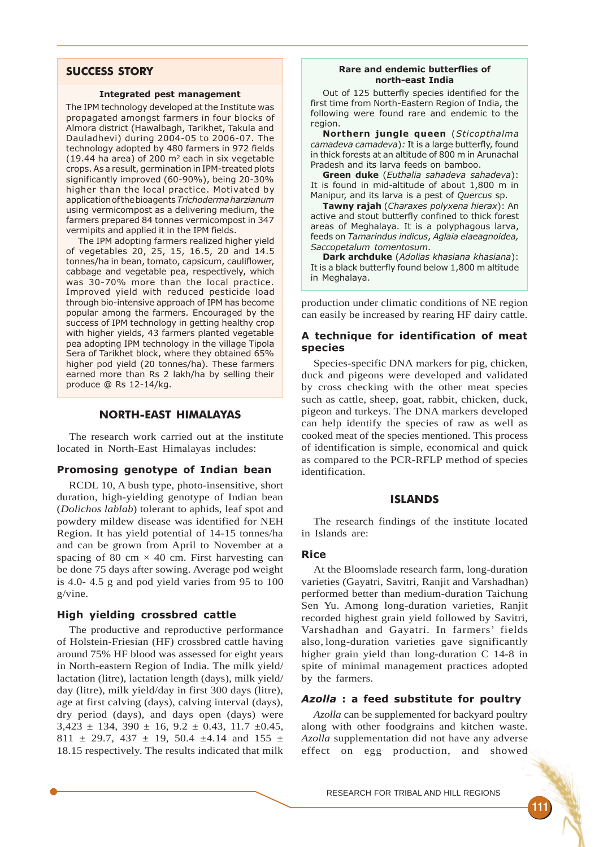# SUCCESS STORY

#### Integrated pest management

The IPM technology developed at the Institute was propagated amongst farmers in four blocks of Almora district (Hawalbagh, Tarikhet, Takula and Dauladhevi) during 2004-05 to 2006-07. The technology adopted by 480 farmers in 972 fields (19.44 ha area) of 200  $m^2$  each in six vegetable crops. As a result, germination in IPM-treated plots significantly improved (60-90%), being 20-30% higher than the local practice. Motivated by application of the bioagents Trichodermaharzianum using vermicompost as a delivering medium, the farmers prepared 84 tonnes vermicompost in 347 vermipits and applied it in the IPM fields.

The IPM adopting farmers realized higher yield of vegetables 20, 25, 15, 16.5, 20 and 14.5 tonnes/ha in bean, tomato, capsicum, cauliflower, cabbage and vegetable pea, respectively, which was 30-70% more than the local practice. Improved yield with reduced pesticide load through bio-intensive approach of IPM has become popular among the farmers. Encouraged by the success of IPM technology in getting healthy crop with higher yields, 43 farmers planted vegetable pea adopting IPM technology in the village Tipola Sera of Tarikhet block, where they obtained 65% higher pod yield (20 tonnes/ha). These farmers earned more than Rs 2 lakh/ha by selling their produce @ Rs 12-14/kg.

## NORTH-EAST HIMALAYAS

The research work carried out at the institute located in North-East Himalayas includes:

#### Promosing genotype of Indian bean

RCDL 10, A bush type, photo-insensitive, short duration, high-yielding genotype of Indian bean (*Dolichos lablab*) tolerant to aphids, leaf spot and powdery mildew disease was identified for NEH Region. It has yield potential of 14-15 tonnes/ha and can be grown from April to November at a spacing of 80 cm  $\times$  40 cm. First harvesting can be done 75 days after sowing. Average pod weight is 4.0- 4.5 g and pod yield varies from 95 to 100 g/vine.

## High yielding crossbred cattle

The productive and reproductive performance of Holstein-Friesian (HF) crossbred cattle having around 75% HF blood was assessed for eight years in North-eastern Region of India. The milk yield/ lactation (litre), lactation length (days), milk yield/ day (litre), milk yield/day in first 300 days (litre), age at first calving (days), calving interval (days), dry period (days), and days open (days) were  $3,423 \pm 134, 390 \pm 16, 9.2 \pm 0.43, 11.7 \pm 0.45,$ 811  $\pm$  29.7, 437  $\pm$  19, 50.4  $\pm$ 4.14 and 155  $\pm$ 18.15 respectively. The results indicated that milk

#### Rare and endemic butterflies of north-east India

Out of 125 butterfly species identified for the first time from North-Eastern Region of India, the following were found rare and endemic to the region.

Northern jungle queen (Sticopthalma camadeva camadeva): It is a large butterfly, found in thick forests at an altitude of 800 m in Arunachal Pradesh and its larva feeds on bamboo.

Green duke (Euthalia sahadeva sahadeva): It is found in mid-altitude of about 1,800 m in Manipur, and its larva is a pest of Quercus sp.

Tawny rajah (Charaxes polyxena hierax): An active and stout butterfly confined to thick forest areas of Meghalaya. It is a polyphagous larva, feeds on Tamarindus indicus, Aglaia elaeagnoidea, Saccopetalum tomentosum.

Dark archduke (Adolias khasiana khasiana): It is a black butterfly found below 1,800 m altitude in Meghalaya.

production under climatic conditions of NE region can easily be increased by rearing HF dairy cattle.

## A technique for identification of meat species

Species-specific DNA markers for pig, chicken, duck and pigeons were developed and validated by cross checking with the other meat species such as cattle, sheep, goat, rabbit, chicken, duck, pigeon and turkeys. The DNA markers developed can help identify the species of raw as well as cooked meat of the species mentioned. This process of identification is simple, economical and quick as compared to the PCR-RFLP method of species identification.

#### ISLANDS

The research findings of the institute located in Islands are:

## Rice

At the Bloomslade research farm, long-duration varieties (Gayatri, Savitri, Ranjit and Varshadhan) performed better than medium-duration Taichung Sen Yu. Among long-duration varieties, Ranjit recorded highest grain yield followed by Savitri, Varshadhan and Gayatri. In farmers' fields also, long-duration varieties gave significantly higher grain yield than long-duration C 14-8 in spite of minimal management practices adopted by the farmers.

## Azolla : a feed substitute for poultry

*Azolla* can be supplemented for backyard poultry along with other foodgrains and kitchen waste. *Azolla* supplementation did not have any adverse effect on egg production, and showed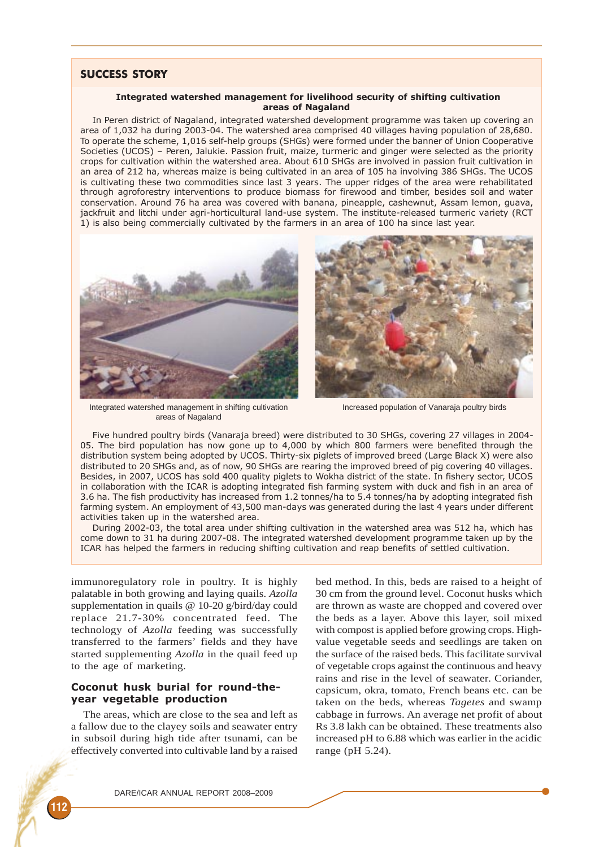# SUCCESS STORY

#### Integrated watershed management for livelihood security of shifting cultivation areas of Nagaland

In Peren district of Nagaland, integrated watershed development programme was taken up covering an area of 1,032 ha during 2003-04. The watershed area comprised 40 villages having population of 28,680. To operate the scheme, 1,016 self-help groups (SHGs) were formed under the banner of Union Cooperative Societies (UCOS) – Peren, Jalukie. Passion fruit, maize, turmeric and ginger were selected as the priority crops for cultivation within the watershed area. About 610 SHGs are involved in passion fruit cultivation in an area of 212 ha, whereas maize is being cultivated in an area of 105 ha involving 386 SHGs. The UCOS is cultivating these two commodities since last 3 years. The upper ridges of the area were rehabilitated through agroforestry interventions to produce biomass for firewood and timber, besides soil and water conservation. Around 76 ha area was covered with banana, pineapple, cashewnut, Assam lemon, guava, jackfruit and litchi under agri-horticultural land-use system. The institute-released turmeric variety (RCT 1) is also being commercially cultivated by the farmers in an area of 100 ha since last year.



Integrated watershed management in shifting cultivation areas of Nagaland



Increased population of Vanaraja poultry birds

Five hundred poultry birds (Vanaraja breed) were distributed to 30 SHGs, covering 27 villages in 2004- 05. The bird population has now gone up to 4,000 by which 800 farmers were benefited through the distribution system being adopted by UCOS. Thirty-six piglets of improved breed (Large Black X) were also distributed to 20 SHGs and, as of now, 90 SHGs are rearing the improved breed of pig covering 40 villages. Besides, in 2007, UCOS has sold 400 quality piglets to Wokha district of the state. In fishery sector, UCOS in collaboration with the ICAR is adopting integrated fish farming system with duck and fish in an area of 3.6 ha. The fish productivity has increased from 1.2 tonnes/ha to 5.4 tonnes/ha by adopting integrated fish farming system. An employment of 43,500 man-days was generated during the last 4 years under different activities taken up in the watershed area.

During 2002-03, the total area under shifting cultivation in the watershed area was 512 ha, which has come down to 31 ha during 2007-08. The integrated watershed development programme taken up by the ICAR has helped the farmers in reducing shifting cultivation and reap benefits of settled cultivation.

immunoregulatory role in poultry. It is highly palatable in both growing and laying quails. *Azolla* supplementation in quails @ 10-20 g/bird/day could replace 21.7-30% concentrated feed. The technology of *Azolla* feeding was successfully transferred to the farmers' fields and they have started supplementing *Azolla* in the quail feed up to the age of marketing.

# Coconut husk burial for round-theyear vegetable production

The areas, which are close to the sea and left as a fallow due to the clayey soils and seawater entry in subsoil during high tide after tsunami, can be effectively converted into cultivable land by a raised bed method. In this, beds are raised to a height of 30 cm from the ground level. Coconut husks which are thrown as waste are chopped and covered over the beds as a layer. Above this layer, soil mixed with compost is applied before growing crops. Highvalue vegetable seeds and seedlings are taken on the surface of the raised beds. This facilitate survival of vegetable crops against the continuous and heavy rains and rise in the level of seawater. Coriander, capsicum, okra, tomato, French beans etc. can be taken on the beds, whereas *Tagetes* and swamp cabbage in furrows. An average net profit of about Rs 3.8 lakh can be obtained. These treatments also increased pH to 6.88 which was earlier in the acidic range (pH 5.24).